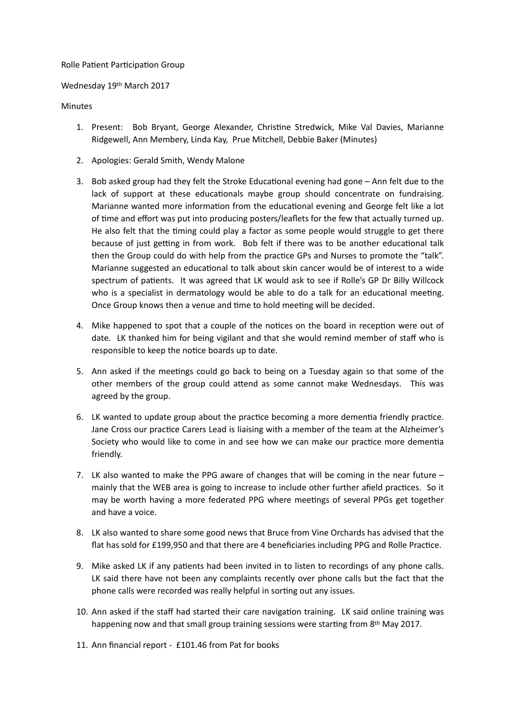## Rolle Patient Participation Group

## Wednesday 19th March 2017

## Minutes

- 1. Present: Bob Bryant, George Alexander, Christine Stredwick, Mike Val Davies, Marianne Ridgewell, Ann Membery, Linda Kay, Prue Mitchell, Debbie Baker (Minutes)
- 2. Apologies: Gerald Smith, Wendy Malone
- 3. Bob asked group had they felt the Stroke Educational evening had gone  $-$  Ann felt due to the lack of support at these educationals maybe group should concentrate on fundraising. Marianne wanted more information from the educational evening and George felt like a lot of time and effort was put into producing posters/leaflets for the few that actually turned up. He also felt that the timing could play a factor as some people would struggle to get there because of just getting in from work. Bob felt if there was to be another educational talk then the Group could do with help from the practice GPs and Nurses to promote the "talk". Marianne suggested an educational to talk about skin cancer would be of interest to a wide spectrum of patients. It was agreed that LK would ask to see if Rolle's GP Dr Billy Willcock who is a specialist in dermatology would be able to do a talk for an educational meeting. Once Group knows then a venue and time to hold meeting will be decided.
- 4. Mike happened to spot that a couple of the notices on the board in reception were out of date. LK thanked him for being vigilant and that she would remind member of staff who is responsible to keep the notice boards up to date.
- 5. Ann asked if the meetings could go back to being on a Tuesday again so that some of the other members of the group could attend as some cannot make Wednesdays. This was agreed by the group.
- 6. LK wanted to update group about the practice becoming a more dementia friendly practice. Jane Cross our practice Carers Lead is liaising with a member of the team at the Alzheimer's Society who would like to come in and see how we can make our practice more dementia friendly.
- 7. LK also wanted to make the PPG aware of changes that will be coming in the near future mainly that the WEB area is going to increase to include other further afield practices. So it may be worth having a more federated PPG where meetings of several PPGs get together and have a voice.
- 8. LK also wanted to share some good news that Bruce from Vine Orchards has advised that the flat has sold for £199,950 and that there are 4 beneficiaries including PPG and Rolle Practice.
- 9. Mike asked LK if any patients had been invited in to listen to recordings of any phone calls. LK said there have not been any complaints recently over phone calls but the fact that the phone calls were recorded was really helpful in sorting out any issues.
- 10. Ann asked if the staff had started their care navigation training. LK said online training was happening now and that small group training sessions were starting from  $8<sup>th</sup>$  May 2017.
- 11. Ann financial report £101.46 from Pat for books